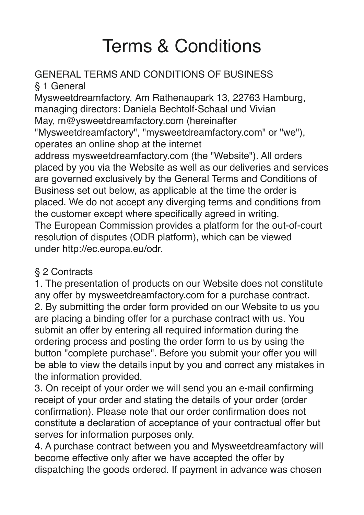# Terms & Conditions

# GENERAL TERMS AND CONDITIONS OF BUSINESS

§ 1 General Mysweetdreamfactory, Am Rathenaupark 13, 22763 Hamburg, managing directors: Daniela Bechtolf-Schaal und Vivian May, m@ysweetdreamfactory.com (hereinafter "Mysweetdreamfactory", "mysweetdreamfactory.com" or "we"), operates an online shop at the internet address mysweetdreamfactory.com (the "Website"). All orders placed by you via the Website as well as our deliveries and services

are governed exclusively by the General Terms and Conditions of Business set out below, as applicable at the time the order is placed. We do not accept any diverging terms and conditions from the customer except where specifically agreed in writing. The European Commission provides a platform for the out-of-court resolution of disputes (ODR platform), which can be viewed under [http://ec.europa.eu/odr.](http://ec.europa.eu/odr) 

## § 2 Contracts

1. The presentation of products on our Website does not constitute any offer by mysweetdreamfactory.com for a purchase contract. 2. By submitting the order form provided on our Website to us you are placing a binding offer for a purchase contract with us. You submit an offer by entering all required information during the ordering process and posting the order form to us by using the button "complete purchase". Before you submit your offer you will be able to view the details input by you and correct any mistakes in the information provided.

3. On receipt of your order we will send you an e-mail confirming receipt of your order and stating the details of your order (order confirmation). Please note that our order confirmation does not constitute a declaration of acceptance of your contractual offer but serves for information purposes only.

4. A purchase contract between you and Mysweetdreamfactory will become effective only after we have accepted the offer by dispatching the goods ordered. If payment in advance was chosen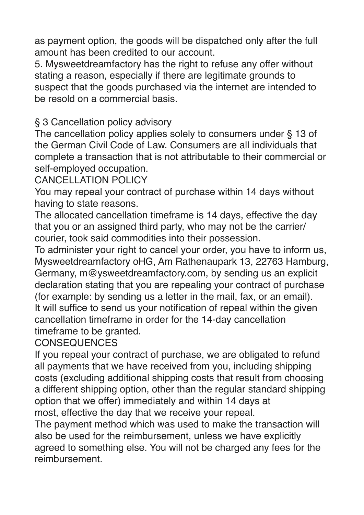as payment option, the goods will be dispatched only after the full amount has been credited to our account.

5. Mysweetdreamfactory has the right to refuse any offer without stating a reason, especially if there are legitimate grounds to suspect that the goods purchased via the internet are intended to be resold on a commercial basis.

§ 3 Cancellation policy advisory

The cancellation policy applies solely to consumers under § 13 of the German Civil Code of Law. Consumers are all individuals that complete a transaction that is not attributable to their commercial or self-employed occupation.

CANCELLATION POLICY

You may repeal your contract of purchase within 14 days without having to state reasons.

The allocated cancellation timeframe is 14 days, effective the day that you or an assigned third party, who may not be the carrier/ courier, took said commodities into their possession.

To administer your right to cancel your order, you have to inform us, Mysweetdreamfactory oHG, Am Rathenaupark 13, 22763 Hamburg, Germany, m@ysweetdreamfactory.com, by sending us an explicit declaration stating that you are repealing your contract of purchase (for example: by sending us a letter in the mail, fax, or an email). It will suffice to send us your notification of repeal within the given cancellation timeframe in order for the 14-day cancellation timeframe to be granted.

CONSEQUENCES

If you repeal your contract of purchase, we are obligated to refund all payments that we have received from you, including shipping costs (excluding additional shipping costs that result from choosing a different shipping option, other than the regular standard shipping option that we offer) immediately and within 14 days at most, effective the day that we receive your repeal.

The payment method which was used to make the transaction will also be used for the reimbursement, unless we have explicitly agreed to something else. You will not be charged any fees for the reimbursement.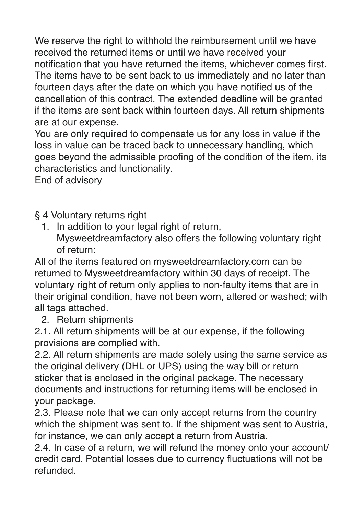We reserve the right to withhold the reimbursement until we have received the returned items or until we have received your notification that you have returned the items, whichever comes first. The items have to be sent back to us immediately and no later than fourteen days after the date on which you have notified us of the cancellation of this contract. The extended deadline will be granted if the items are sent back within fourteen days. All return shipments are at our expense.

You are only required to compensate us for any loss in value if the loss in value can be traced back to unnecessary handling, which goes beyond the admissible proofing of the condition of the item, its characteristics and functionality.

End of advisory

§ 4 Voluntary returns right

1. In addition to your legal right of return, Mysweetdreamfactory also offers the following voluntary right of return:

All of the items featured on mysweetdreamfactory.com can be returned to Mysweetdreamfactory within 30 days of receipt. The voluntary right of return only applies to non-faulty items that are in their original condition, have not been worn, altered or washed; with all tags attached.

2. Return shipments

2.1. All return shipments will be at our expense, if the following provisions are complied with.

2.2. All return shipments are made solely using the same service as the original delivery (DHL or UPS) using the way bill or return sticker that is enclosed in the original package. The necessary documents and instructions for returning items will be enclosed in your package.

2.3. Please note that we can only accept returns from the country which the shipment was sent to. If the shipment was sent to Austria. for instance, we can only accept a return from Austria.

2.4. In case of a return, we will refund the money onto your account/ credit card. Potential losses due to currency fluctuations will not be refunded.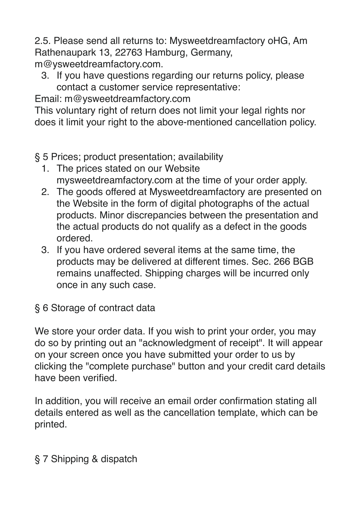2.5. Please send all returns to: Mysweetdreamfactory oHG, Am Rathenaupark 13, 22763 Hamburg, Germany, m@ysweetdreamfactory.com.

3. If you have questions regarding our returns policy, please contact a customer service representative:

Email: m@ysweetdreamfactory.com

This voluntary right of return does not limit your legal rights nor does it limit your right to the above-mentioned cancellation policy.

§ 5 Prices; product presentation; availability

- 1. The prices stated on our Website mysweetdreamfactory.com at the time of your order apply.
- 2. The goods offered at Mysweetdreamfactory are presented on the Website in the form of digital photographs of the actual products. Minor discrepancies between the presentation and the actual products do not qualify as a defect in the goods ordered.
- 3. If you have ordered several items at the same time, the products may be delivered at different times. Sec. 266 BGB remains unaffected. Shipping charges will be incurred only once in any such case.

§ 6 Storage of contract data

We store your order data. If you wish to print your order, you may do so by printing out an "acknowledgment of receipt". It will appear on your screen once you have submitted your order to us by clicking the "complete purchase" button and your credit card details have been verified.

In addition, you will receive an email order confirmation stating all details entered as well as the cancellation template, which can be printed.

#### § 7 Shipping & dispatch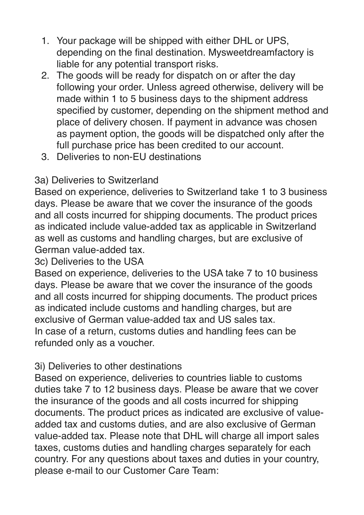- 1. Your package will be shipped with either DHL or UPS, depending on the final destination. Mysweetdreamfactory is liable for any potential transport risks.
- 2. The goods will be ready for dispatch on or after the day following your order. Unless agreed otherwise, delivery will be made within 1 to 5 business days to the shipment address specified by customer, depending on the shipment method and place of delivery chosen. If payment in advance was chosen as payment option, the goods will be dispatched only after the full purchase price has been credited to our account.
- 3. Deliveries to non-EU destinations

### 3a) Deliveries to Switzerland

Based on experience, deliveries to Switzerland take 1 to 3 business days. Please be aware that we cover the insurance of the goods and all costs incurred for shipping documents. The product prices as indicated include value-added tax as applicable in Switzerland as well as customs and handling charges, but are exclusive of German value-added tax.

3c) Deliveries to the USA

Based on experience, deliveries to the USA take 7 to 10 business days. Please be aware that we cover the insurance of the goods and all costs incurred for shipping documents. The product prices as indicated include customs and handling charges, but are exclusive of German value-added tax and US sales tax. In case of a return, customs duties and handling fees can be refunded only as a voucher.

#### 3i) Deliveries to other destinations

Based on experience, deliveries to countries liable to customs duties take 7 to 12 business days. Please be aware that we cover the insurance of the goods and all costs incurred for shipping documents. The product prices as indicated are exclusive of valueadded tax and customs duties, and are also exclusive of German value-added tax. Please note that DHL will charge all import sales taxes, customs duties and handling charges separately for each country. For any questions about taxes and duties in your country, please e-mail to our Customer Care Team: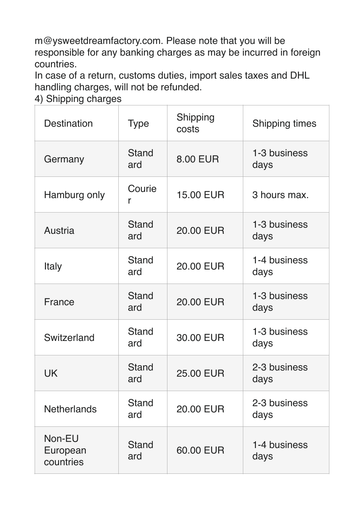m@ysweetdreamfactory.com. Please note that you will be responsible for any banking charges as may be incurred in foreign countries.

In case of a return, customs duties, import sales taxes and DHL handling charges, will not be refunded.

4) Shipping charges

| <b>Destination</b>              | <b>Type</b>         | Shipping<br>costs | <b>Shipping times</b> |
|---------------------------------|---------------------|-------------------|-----------------------|
| Germany                         | <b>Stand</b><br>ard | <b>8.00 EUR</b>   | 1-3 business<br>days  |
| Hamburg only                    | Courie<br>r         | <b>15.00 EUR</b>  | 3 hours max.          |
| Austria                         | <b>Stand</b><br>ard | <b>20.00 EUR</b>  | 1-3 business<br>days  |
| <b>Italy</b>                    | <b>Stand</b><br>ard | 20.00 EUR         | 1-4 business<br>days  |
| France                          | <b>Stand</b><br>ard | <b>20.00 EUR</b>  | 1-3 business<br>days  |
| Switzerland                     | <b>Stand</b><br>ard | 30.00 EUR         | 1-3 business<br>days  |
| <b>UK</b>                       | <b>Stand</b><br>ard | <b>25.00 EUR</b>  | 2-3 business<br>days  |
| <b>Netherlands</b>              | <b>Stand</b><br>ard | 20.00 EUR         | 2-3 business<br>days  |
| Non-EU<br>European<br>countries | <b>Stand</b><br>ard | 60.00 EUR         | 1-4 business<br>days  |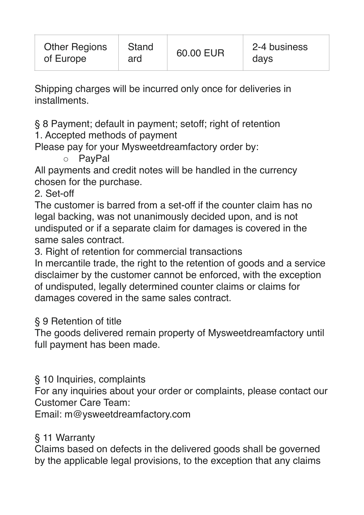Shipping charges will be incurred only once for deliveries in installments.

§ 8 Payment; default in payment; setoff; right of retention

1. Accepted methods of payment

Please pay for your Mysweetdreamfactory order by:

◦ PayPal

All payments and credit notes will be handled in the currency chosen for the purchase.

2. Set-off

The customer is barred from a set-off if the counter claim has no legal backing, was not unanimously decided upon, and is not undisputed or if a separate claim for damages is covered in the same sales contract.

3. Right of retention for commercial transactions

In mercantile trade, the right to the retention of goods and a service disclaimer by the customer cannot be enforced, with the exception of undisputed, legally determined counter claims or claims for damages covered in the same sales contract.

#### § 9 Retention of title

The goods delivered remain property of Mysweetdreamfactory until full payment has been made.

#### § 10 Inquiries, complaints

For any inquiries about your order or complaints, please contact our Customer Care Team:

Email: m@ysweetdreamfactory.com

#### § 11 Warranty

Claims based on defects in the delivered goods shall be governed by the applicable legal provisions, to the exception that any claims